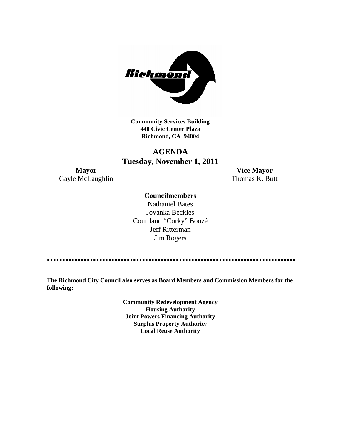

**Community Services Building 440 Civic Center Plaza Richmond, CA 94804**

# **AGENDA Tuesday, November 1, 2011**

Gayle McLaughlin Thomas K. Butt

**Mayor Vice Mayor**

# **Councilmembers**

Nathaniel Bates Jovanka Beckles Courtland "Corky" Boozé Jeff Ritterman Jim Rogers

**The Richmond City Council also serves as Board Members and Commission Members for the following:**

> **Community Redevelopment Agency Housing Authority Joint Powers Financing Authority Surplus Property Authority Local Reuse Authority**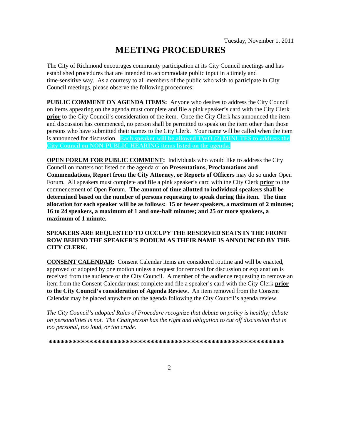# **MEETING PROCEDURES**

The City of Richmond encourages community participation at its City Council meetings and has established procedures that are intended to accommodate public input in a timely and time-sensitive way. As a courtesy to all members of the public who wish to participate in City Council meetings, please observe the following procedures:

**PUBLIC COMMENT ON AGENDA ITEMS:** Anyone who desires to address the City Council on items appearing on the agenda must complete and file a pink speaker's card with the City Clerk **prior** to the City Council's consideration of the item. Once the City Clerk has announced the item and discussion has commenced, no person shall be permitted to speak on the item other than those persons who have submitted their names to the City Clerk. Your name will be called when the item is announced for discussion. **Each speaker will be allowed TWO (2) MINUTES to address the City Council on NON-PUBLIC HEARING items listed on the agenda.**

**OPEN FORUM FOR PUBLIC COMMENT:** Individuals who would like to address the City Council on matters not listed on the agenda or on **Presentations, Proclamations and Commendations, Report from the City Attorney, or Reports of Officers** may do so under Open Forum. All speakers must complete and file a pink speaker's card with the City Clerk **prior** to the commencement of Open Forum. **The amount of time allotted to individual speakers shall be determined based on the number of persons requesting to speak during this item. The time allocation for each speaker will be as follows: 15 or fewer speakers, a maximum of 2 minutes; 16 to 24 speakers, a maximum of 1 and one-half minutes; and 25 or more speakers, a maximum of 1 minute.**

## **SPEAKERS ARE REQUESTED TO OCCUPY THE RESERVED SEATS IN THE FRONT ROW BEHIND THE SPEAKER'S PODIUM AS THEIR NAME IS ANNOUNCED BY THE CITY CLERK.**

**CONSENT CALENDAR:** Consent Calendar items are considered routine and will be enacted, approved or adopted by one motion unless a request for removal for discussion or explanation is received from the audience or the City Council. A member of the audience requesting to remove an item from the Consent Calendar must complete and file a speaker's card with the City Clerk **prior to the City Council's consideration of Agenda Review.** An item removed from the Consent Calendar may be placed anywhere on the agenda following the City Council's agenda review.

*The City Council's adopted Rules of Procedure recognize that debate on policy is healthy; debate on personalities is not. The Chairperson has the right and obligation to cut off discussion that is too personal, too loud, or too crude.*

**\*\*\*\*\*\*\*\*\*\*\*\*\*\*\*\*\*\*\*\*\*\*\*\*\*\*\*\*\*\*\*\*\*\*\*\*\*\*\*\*\*\*\*\*\*\*\*\*\*\*\*\*\*\*\*\*\*\***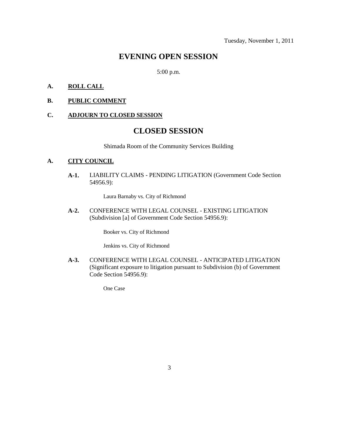# **EVENING OPEN SESSION**

5:00 p.m.

## **A. ROLL CALL**

**B. PUBLIC COMMENT**

## **C. ADJOURN TO CLOSED SESSION**

# **CLOSED SESSION**

Shimada Room of the Community Services Building

# **A. CITY COUNCIL**

**A-1.** LIABILITY CLAIMS - PENDING LITIGATION (Government Code Section 54956.9):

Laura Barnaby vs. City of Richmond

**A-2.** CONFERENCE WITH LEGAL COUNSEL - EXISTING LITIGATION (Subdivision [a] of Government Code Section 54956.9):

Booker vs. City of Richmond

Jenkins vs. City of Richmond

**A-3.** CONFERENCE WITH LEGAL COUNSEL - ANTICIPATED LITIGATION (Significant exposure to litigation pursuant to Subdivision (b) of Government Code Section 54956.9):

One Case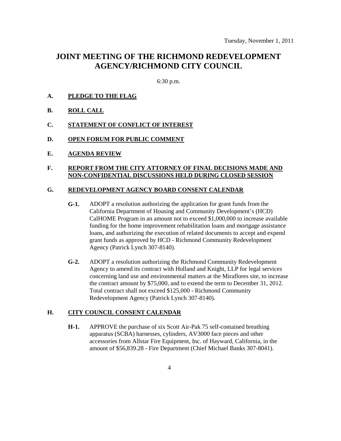# **JOINT MEETING OF THE RICHMOND REDEVELOPMENT AGENCY/RICHMOND CITY COUNCIL**

6:30 p.m.

- **A. PLEDGE TO THE FLAG**
- **B. ROLL CALL**
- **C. STATEMENT OF CONFLICT OF INTEREST**
- **D. OPEN FORUM FOR PUBLIC COMMENT**
- **E. AGENDA REVIEW**

#### **F. REPORT FROM THE CITY ATTORNEY OF FINAL DECISIONS MADE AND NON-CONFIDENTIAL DISCUSSIONS HELD DURING CLOSED SESSION**

#### **G. REDEVELOPMENT AGENCY BOARD CONSENT CALENDAR**

- **G-1.** ADOPT a resolution authorizing the application for grant funds from the California Department of Housing and Community Development's (HCD) CalHOME Program in an amount not to exceed \$1,000,000 to increase available funding for the home improvement rehabilitation loans and mortgage assistance loans, and authorizing the execution of related documents to accept and expend grant funds as approved by HCD - Richmond Community Redevelopment Agency (Patrick Lynch 307-8140).
- **G-2.** ADOPT a resolution authorizing the Richmond Community Redevelopment Agency to amend its contract with Holland and Knight, LLP for legal services concerning land use and environmental matters at the Miraflores site, to increase the contract amount by \$75,000, and to extend the term to December 31, 2012. Total contract shall not exceed \$125,000 - Richmond Community Redevelopment Agency (Patrick Lynch 307-8140).

## **H. CITY COUNCIL CONSENT CALENDAR**

**H-1.** APPROVE the purchase of six Scott Air-Pak 75 self-contained breathing apparatus (SCBA) harnesses, cylinders, AV3000 face pieces and other accessories from Allstar Fire Equipment, Inc. of Hayward, California, in the amount of \$56,839.28 - Fire Department (Chief Michael Banks 307-8041).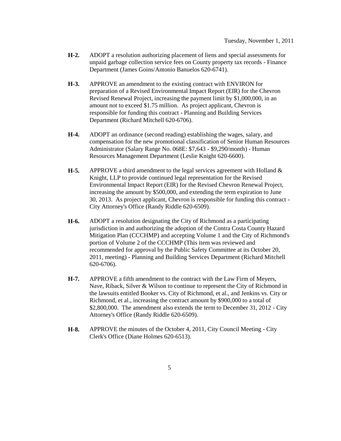- **H-2.** ADOPT a resolution authorizing placement of liens and special assessments for unpaid garbage collection service fees on County property tax records - Finance Department (James Goins/Antonio Banuelos 620-6741).
- **H-3.** APPROVE an amendment to the existing contract with ENVIRON for preparation of a Revised Environmental Impact Report (EIR) for the Chevron Revised Renewal Project, increasing the payment limit by \$1,000,000, in an amount not to exceed \$1.75 million. As project applicant, Chevron is responsible for funding this contract - Planning and Building Services Department (Richard Mitchell 620-6706).
- **H-4.** ADOPT an ordinance (second reading) establishing the wages, salary, and compensation for the new promotional classification of Senior Human Resources Administrator (Salary Range No. 068E: \$7,643 - \$9,290/month) - Human Resources Management Department (Leslie Knight 620-6600).
- **H-5.** APPROVE a third amendment to the legal services agreement with Holland & Knight, LLP to provide continued legal representation for the Revised Environmental Impact Report (EIR) for the Revised Chevron Renewal Project, increasing the amount by \$500,000, and extending the term expiration to June 30, 2013. As project applicant, Chevron is responsible for funding this contract - City Attorney's Office (Randy Riddle 620-6509).
- **H-6.** ADOPT a resolution designating the City of Richmond as a participating jurisdiction in and authorizing the adoption of the Contra Costa County Hazard Mitigation Plan (CCCHMP) and accepting Volume 1 and the City of Richmond's portion of Volume 2 of the CCCHMP (This item was reviewed and recommended for approval by the Public Safety Committee at its October 20, 2011, meeting) - Planning and Building Services Department (Richard Mitchell 620-6706).
- **H-7.** APPROVE a fifth amendment to the contract with the Law Firm of Meyers, Nave, Riback, Silver & Wilson to continue to represent the City of Richmond in the lawsuits entitled Booker vs. City of Richmond, et al., and Jenkins vs. City or Richmond, et al., increasing the contract amount by \$900,000 to a total of \$2,800,000. The amendment also extends the term to December 31, 2012 - City Attorney's Office (Randy Riddle 620-6509).
- **H-8.** APPROVE the minutes of the October 4, 2011, City Council Meeting City Clerk's Office (Diane Holmes 620-6513).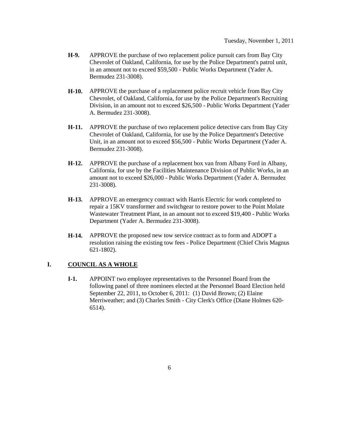- **H-9.** APPROVE the purchase of two replacement police pursuit cars from Bay City Chevrolet of Oakland, California, for use by the Police Department's patrol unit, in an amount not to exceed \$59,500 - Public Works Department (Yader A. Bermudez 231-3008).
- **H-10.** APPROVE the purchase of a replacement police recruit vehicle from Bay City Chevrolet, of Oakland, California, for use by the Police Department's Recruiting Division, in an amount not to exceed \$26,500 - Public Works Department (Yader A. Bermudez 231-3008).
- **H-11.** APPROVE the purchase of two replacement police detective cars from Bay City Chevrolet of Oakland, California, for use by the Police Department's Detective Unit, in an amount not to exceed \$56,500 - Public Works Department (Yader A. Bermudez 231-3008).
- **H-12.** APPROVE the purchase of a replacement box van from Albany Ford in Albany, California, for use by the Facilities Maintenance Division of Public Works, in an amount not to exceed \$26,000 - Public Works Department (Yader A. Bermudez 231-3008).
- **H-13.** APPROVE an emergency contract with Harris Electric for work completed to repair a 15KV transformer and switchgear to restore power to the Point Molate Wastewater Treatment Plant, in an amount not to exceed \$19,400 - Public Works Department (Yader A. Bermudez 231-3008).
- **H-14.** APPROVE the proposed new tow service contract as to form and ADOPT a resolution raising the existing tow fees - Police Department (Chief Chris Magnus 621-1802).

## **I. COUNCIL AS A WHOLE**

**I-1.** APPOINT two employee representatives to the Personnel Board from the following panel of three nominees elected at the Personnel Board Election held September 22, 2011, to October 6, 2011: (1) David Brown; (2) Elaine Merriweather; and (3) Charles Smith - City Clerk's Office (Diane Holmes 620- 6514).